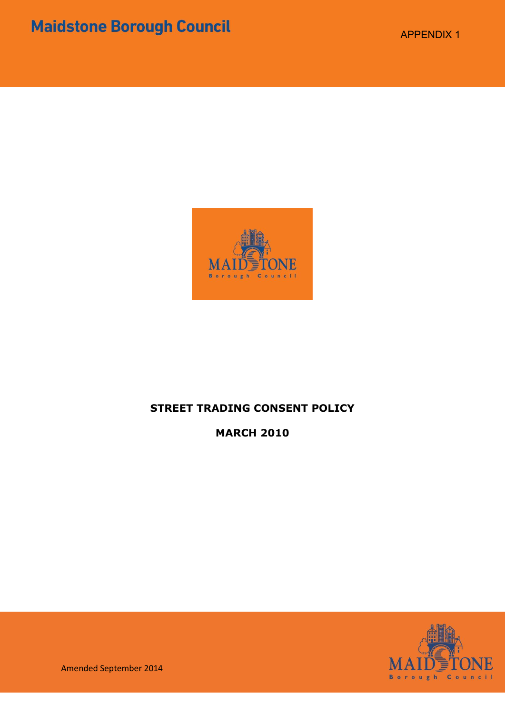

## **STREET TRADING CONSENT POLICY**

**MARCH 2010**



Amended September 2014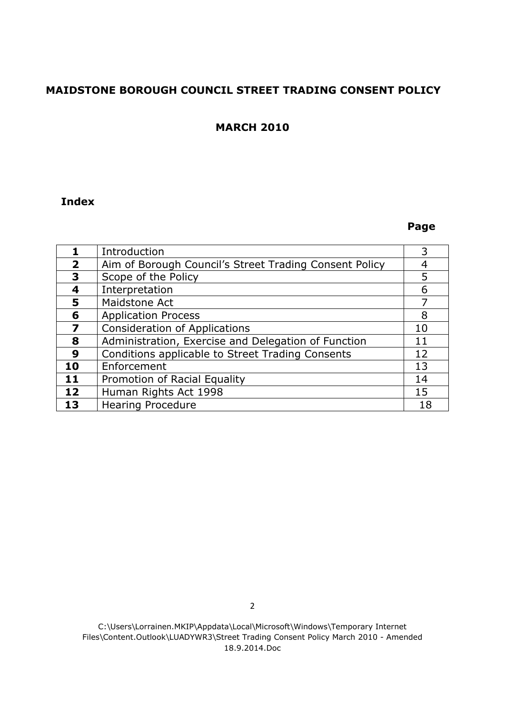## **MAIDSTONE BOROUGH COUNCIL STREET TRADING CONSENT POLICY**

#### **MARCH 2010**

#### **Index**

#### **Page**

|                         | Introduction                                           |    |
|-------------------------|--------------------------------------------------------|----|
| $\overline{\mathbf{2}}$ | Aim of Borough Council's Street Trading Consent Policy |    |
| 3                       | Scope of the Policy                                    | 5  |
|                         | Interpretation                                         | 6  |
| 5                       | Maidstone Act                                          |    |
| 6                       | <b>Application Process</b>                             | 8  |
| 7                       | <b>Consideration of Applications</b>                   | 10 |
| 8                       | Administration, Exercise and Delegation of Function    | 11 |
| 9                       | Conditions applicable to Street Trading Consents       | 12 |
| 10                      | Enforcement                                            | 13 |
| 11                      | Promotion of Racial Equality                           | 14 |
| 12                      | Human Rights Act 1998                                  | 15 |
| 13                      | <b>Hearing Procedure</b>                               |    |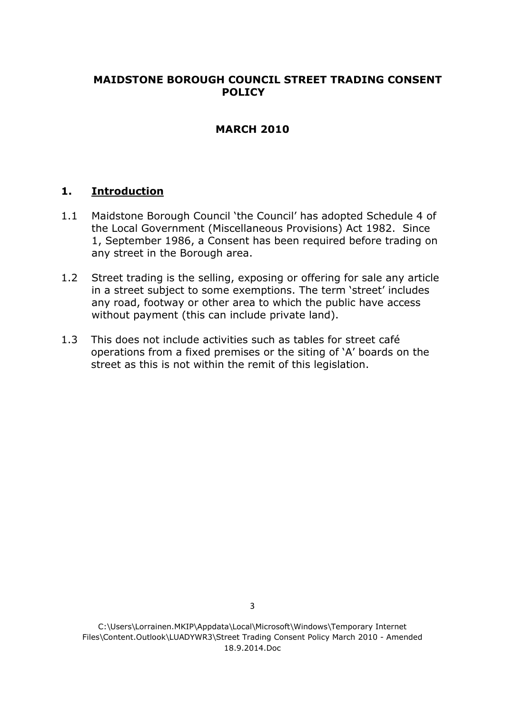## **MAIDSTONE BOROUGH COUNCIL STREET TRADING CONSENT POLICY**

## **MARCH 2010**

### **1. Introduction**

- 1.1 Maidstone Borough Council 'the Council' has adopted Schedule 4 of the Local Government (Miscellaneous Provisions) Act 1982. Since 1, September 1986, a Consent has been required before trading on any street in the Borough area.
- 1.2 Street trading is the selling, exposing or offering for sale any article in a street subject to some exemptions. The term 'street' includes any road, footway or other area to which the public have access without payment (this can include private land).
- 1.3 This does not include activities such as tables for street café operations from a fixed premises or the siting of 'A' boards on the street as this is not within the remit of this legislation.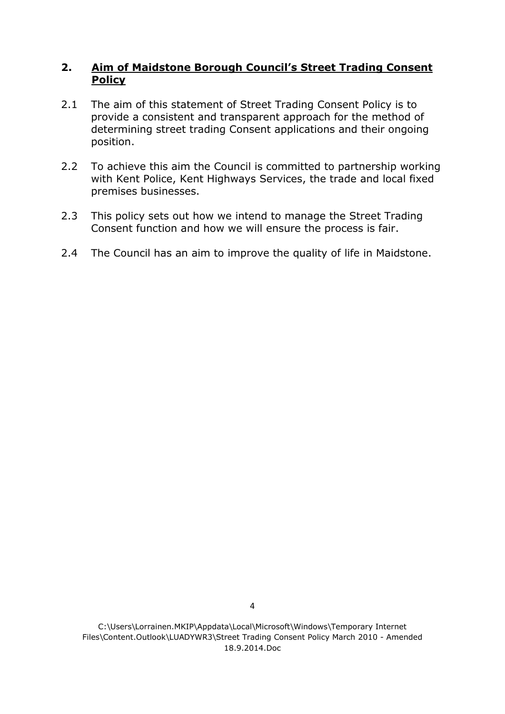## **2. Aim of Maidstone Borough Council's Street Trading Consent Policy**

- 2.1 The aim of this statement of Street Trading Consent Policy is to provide a consistent and transparent approach for the method of determining street trading Consent applications and their ongoing position.
- 2.2 To achieve this aim the Council is committed to partnership working with Kent Police, Kent Highways Services, the trade and local fixed premises businesses.
- 2.3 This policy sets out how we intend to manage the Street Trading Consent function and how we will ensure the process is fair.
- 2.4 The Council has an aim to improve the quality of life in Maidstone.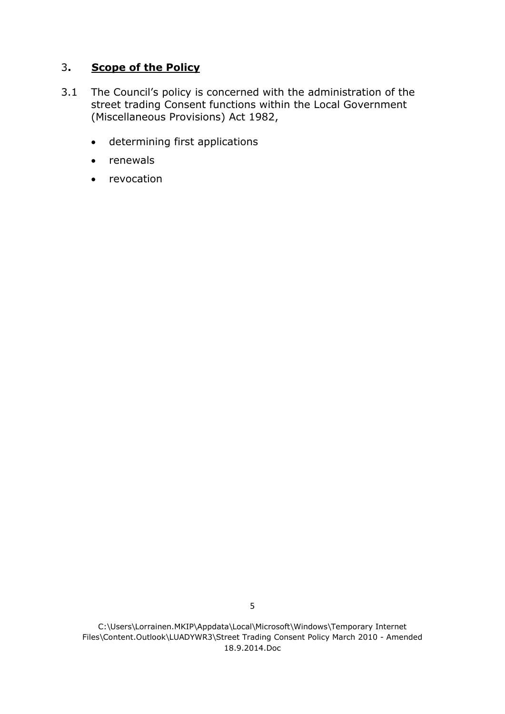## 3**. Scope of the Policy**

- 3.1 The Council's policy is concerned with the administration of the street trading Consent functions within the Local Government (Miscellaneous Provisions) Act 1982,
	- determining first applications
	- renewals
	- revocation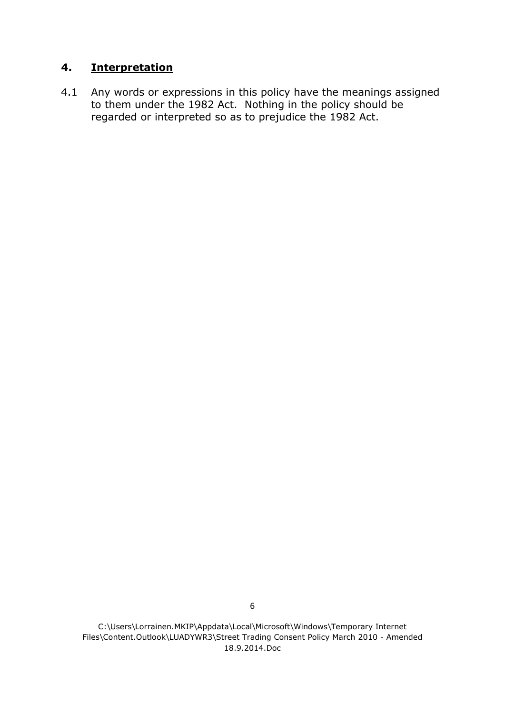## **4. Interpretation**

4.1 Any words or expressions in this policy have the meanings assigned to them under the 1982 Act. Nothing in the policy should be regarded or interpreted so as to prejudice the 1982 Act.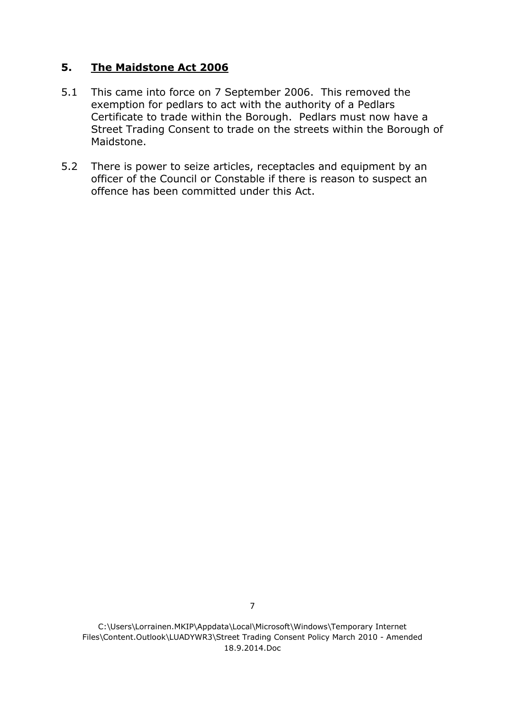## **5. The Maidstone Act 2006**

- 5.1 This came into force on 7 September 2006. This removed the exemption for pedlars to act with the authority of a Pedlars Certificate to trade within the Borough. Pedlars must now have a Street Trading Consent to trade on the streets within the Borough of Maidstone.
- 5.2 There is power to seize articles, receptacles and equipment by an officer of the Council or Constable if there is reason to suspect an offence has been committed under this Act.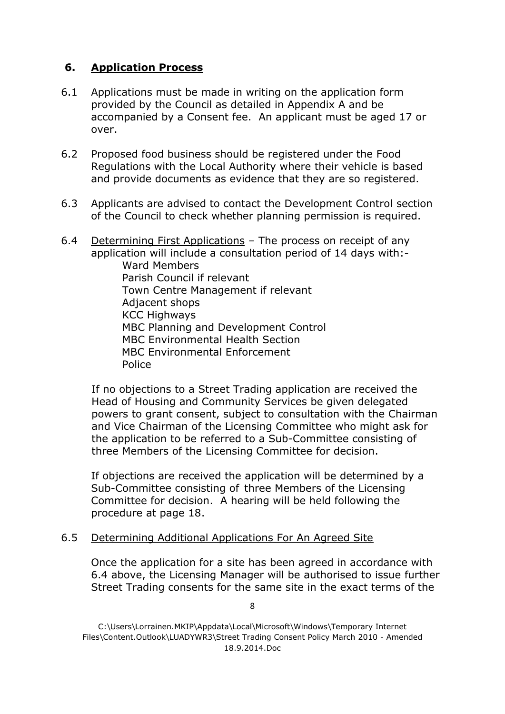## **6. Application Process**

- 6.1 Applications must be made in writing on the application form provided by the Council as detailed in Appendix A and be accompanied by a Consent fee. An applicant must be aged 17 or over.
- 6.2 Proposed food business should be registered under the Food Regulations with the Local Authority where their vehicle is based and provide documents as evidence that they are so registered.
- 6.3 Applicants are advised to contact the Development Control section of the Council to check whether planning permission is required.
- 6.4 Determining First Applications The process on receipt of any application will include a consultation period of 14 days with:- Ward Members Parish Council if relevant Town Centre Management if relevant Adjacent shops KCC Highways MBC Planning and Development Control MBC Environmental Health Section MBC Environmental Enforcement Police

If no objections to a Street Trading application are received the Head of Housing and Community Services be given delegated powers to grant consent, subject to consultation with the Chairman and Vice Chairman of the Licensing Committee who might ask for the application to be referred to a Sub-Committee consisting of three Members of the Licensing Committee for decision.

If objections are received the application will be determined by a Sub-Committee consisting of three Members of the Licensing Committee for decision. A hearing will be held following the procedure at page 18.

#### 6.5 Determining Additional Applications For An Agreed Site

Once the application for a site has been agreed in accordance with 6.4 above, the Licensing Manager will be authorised to issue further Street Trading consents for the same site in the exact terms of the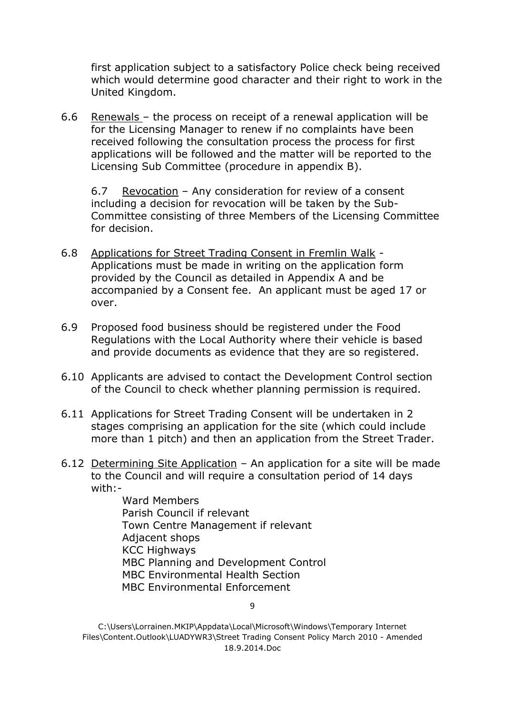first application subject to a satisfactory Police check being received which would determine good character and their right to work in the United Kingdom.

6.6 Renewals – the process on receipt of a renewal application will be for the Licensing Manager to renew if no complaints have been received following the consultation process the process for first applications will be followed and the matter will be reported to the Licensing Sub Committee (procedure in appendix B).

6.7 Revocation – Any consideration for review of a consent including a decision for revocation will be taken by the Sub-Committee consisting of three Members of the Licensing Committee for decision.

- 6.8 Applications for Street Trading Consent in Fremlin Walk Applications must be made in writing on the application form provided by the Council as detailed in Appendix A and be accompanied by a Consent fee. An applicant must be aged 17 or over.
- 6.9 Proposed food business should be registered under the Food Regulations with the Local Authority where their vehicle is based and provide documents as evidence that they are so registered.
- 6.10 Applicants are advised to contact the Development Control section of the Council to check whether planning permission is required.
- 6.11 Applications for Street Trading Consent will be undertaken in 2 stages comprising an application for the site (which could include more than 1 pitch) and then an application from the Street Trader.
- 6.12 Determining Site Application An application for a site will be made to the Council and will require a consultation period of 14 days  $with:$

Ward Members Parish Council if relevant Town Centre Management if relevant Adjacent shops KCC Highways MBC Planning and Development Control MBC Environmental Health Section MBC Environmental Enforcement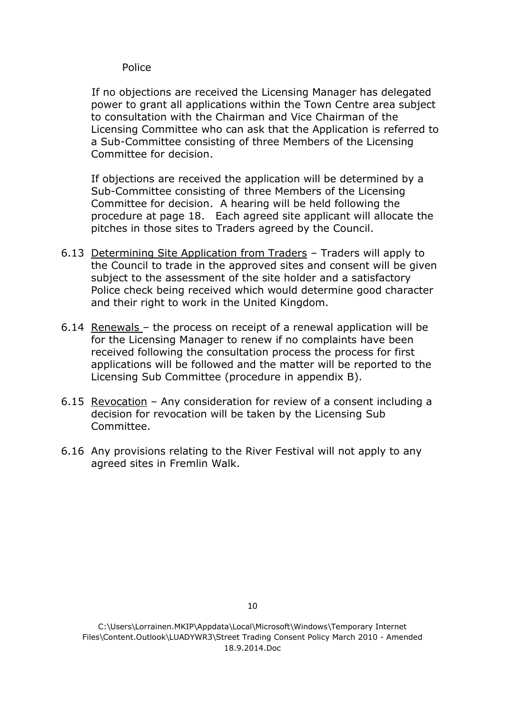#### Police

If no objections are received the Licensing Manager has delegated power to grant all applications within the Town Centre area subject to consultation with the Chairman and Vice Chairman of the Licensing Committee who can ask that the Application is referred to a Sub-Committee consisting of three Members of the Licensing Committee for decision.

If objections are received the application will be determined by a Sub-Committee consisting of three Members of the Licensing Committee for decision. A hearing will be held following the procedure at page 18. Each agreed site applicant will allocate the pitches in those sites to Traders agreed by the Council.

- 6.13 Determining Site Application from Traders Traders will apply to the Council to trade in the approved sites and consent will be given subject to the assessment of the site holder and a satisfactory Police check being received which would determine good character and their right to work in the United Kingdom.
- 6.14 Renewals the process on receipt of a renewal application will be for the Licensing Manager to renew if no complaints have been received following the consultation process the process for first applications will be followed and the matter will be reported to the Licensing Sub Committee (procedure in appendix B).
- 6.15 Revocation Any consideration for review of a consent including a decision for revocation will be taken by the Licensing Sub Committee.
- 6.16 Any provisions relating to the River Festival will not apply to any agreed sites in Fremlin Walk.

C:\Users\Lorrainen.MKIP\Appdata\Local\Microsoft\Windows\Temporary Internet Files\Content.Outlook\LUADYWR3\Street Trading Consent Policy March 2010 - Amended 18.9.2014.Doc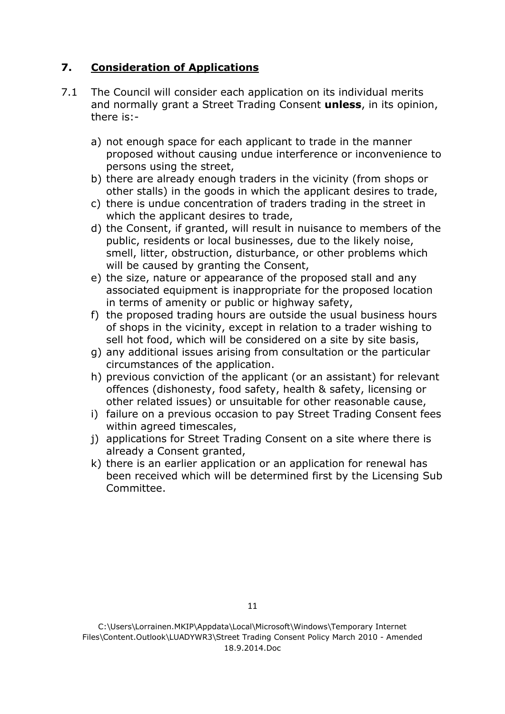# **7. Consideration of Applications**

- 7.1 The Council will consider each application on its individual merits and normally grant a Street Trading Consent **unless**, in its opinion, there is:
	- a) not enough space for each applicant to trade in the manner proposed without causing undue interference or inconvenience to persons using the street,
	- b) there are already enough traders in the vicinity (from shops or other stalls) in the goods in which the applicant desires to trade,
	- c) there is undue concentration of traders trading in the street in which the applicant desires to trade,
	- d) the Consent, if granted, will result in nuisance to members of the public, residents or local businesses, due to the likely noise, smell, litter, obstruction, disturbance, or other problems which will be caused by granting the Consent,
	- e) the size, nature or appearance of the proposed stall and any associated equipment is inappropriate for the proposed location in terms of amenity or public or highway safety,
	- f) the proposed trading hours are outside the usual business hours of shops in the vicinity, except in relation to a trader wishing to sell hot food, which will be considered on a site by site basis,
	- g) any additional issues arising from consultation or the particular circumstances of the application.
	- h) previous conviction of the applicant (or an assistant) for relevant offences (dishonesty, food safety, health & safety, licensing or other related issues) or unsuitable for other reasonable cause,
	- i) failure on a previous occasion to pay Street Trading Consent fees within agreed timescales,
	- j) applications for Street Trading Consent on a site where there is already a Consent granted,
	- k) there is an earlier application or an application for renewal has been received which will be determined first by the Licensing Sub Committee.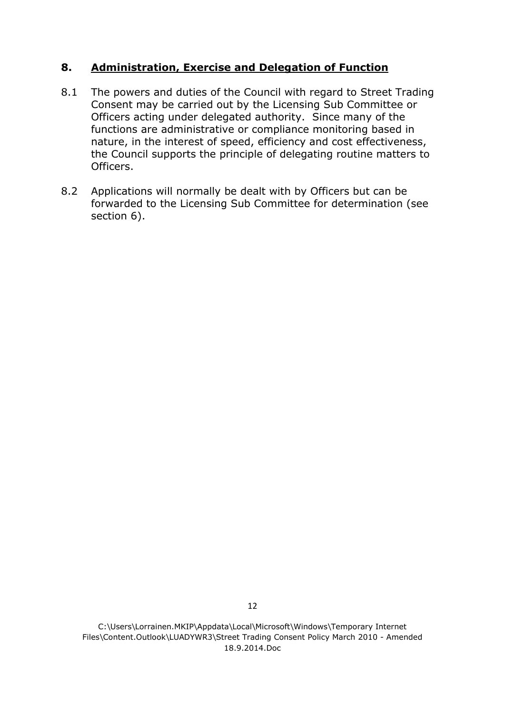## **8. Administration, Exercise and Delegation of Function**

- 8.1 The powers and duties of the Council with regard to Street Trading Consent may be carried out by the Licensing Sub Committee or Officers acting under delegated authority. Since many of the functions are administrative or compliance monitoring based in nature, in the interest of speed, efficiency and cost effectiveness, the Council supports the principle of delegating routine matters to Officers.
- 8.2 Applications will normally be dealt with by Officers but can be forwarded to the Licensing Sub Committee for determination (see section 6).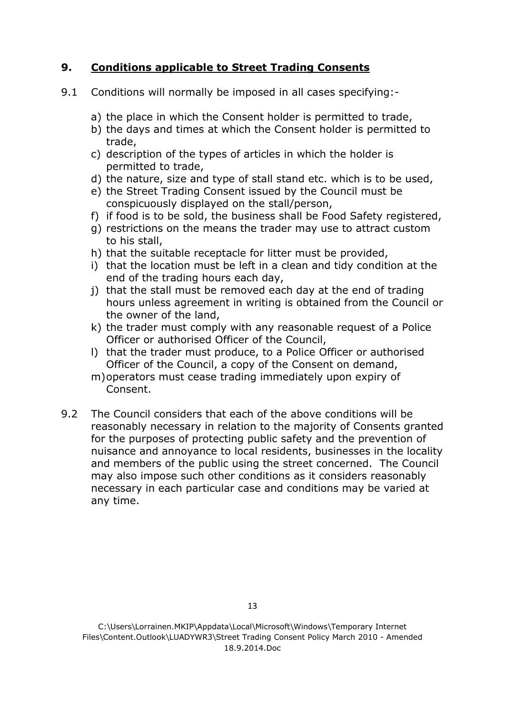## **9. Conditions applicable to Street Trading Consents**

- 9.1 Conditions will normally be imposed in all cases specifying:
	- a) the place in which the Consent holder is permitted to trade,
	- b) the days and times at which the Consent holder is permitted to trade,
	- c) description of the types of articles in which the holder is permitted to trade,
	- d) the nature, size and type of stall stand etc. which is to be used,
	- e) the Street Trading Consent issued by the Council must be conspicuously displayed on the stall/person,
	- f) if food is to be sold, the business shall be Food Safety registered,
	- g) restrictions on the means the trader may use to attract custom to his stall,
	- h) that the suitable receptacle for litter must be provided,
	- i) that the location must be left in a clean and tidy condition at the end of the trading hours each day,
	- j) that the stall must be removed each day at the end of trading hours unless agreement in writing is obtained from the Council or the owner of the land,
	- k) the trader must comply with any reasonable request of a Police Officer or authorised Officer of the Council,
	- l) that the trader must produce, to a Police Officer or authorised Officer of the Council, a copy of the Consent on demand,
	- m)operators must cease trading immediately upon expiry of Consent.
- 9.2 The Council considers that each of the above conditions will be reasonably necessary in relation to the majority of Consents granted for the purposes of protecting public safety and the prevention of nuisance and annoyance to local residents, businesses in the locality and members of the public using the street concerned. The Council may also impose such other conditions as it considers reasonably necessary in each particular case and conditions may be varied at any time.

C:\Users\Lorrainen.MKIP\Appdata\Local\Microsoft\Windows\Temporary Internet Files\Content.Outlook\LUADYWR3\Street Trading Consent Policy March 2010 - Amended 18.9.2014.Doc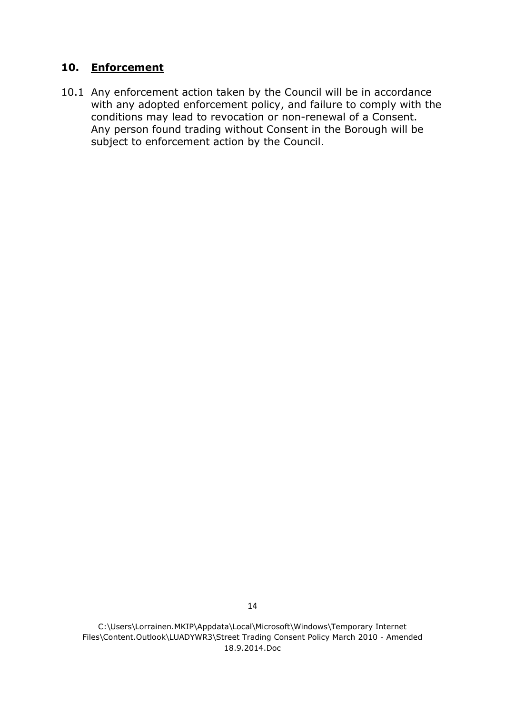## **10. Enforcement**

10.1 Any enforcement action taken by the Council will be in accordance with any adopted enforcement policy, and failure to comply with the conditions may lead to revocation or non-renewal of a Consent. Any person found trading without Consent in the Borough will be subject to enforcement action by the Council.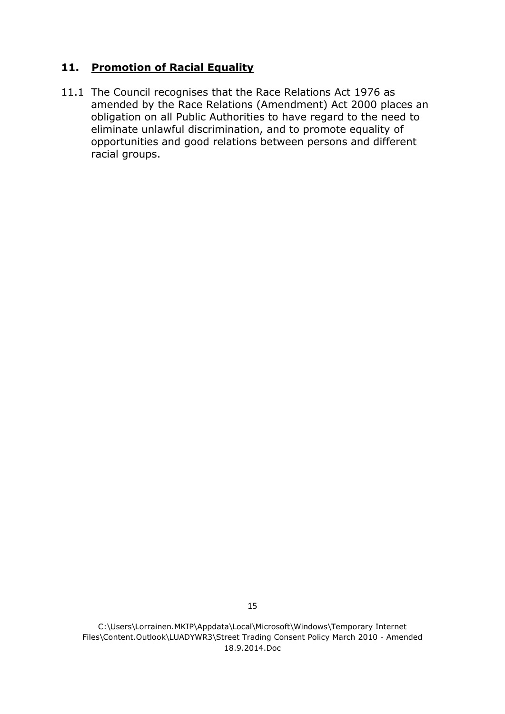## **11. Promotion of Racial Equality**

11.1 The Council recognises that the Race Relations Act 1976 as amended by the Race Relations (Amendment) Act 2000 places an obligation on all Public Authorities to have regard to the need to eliminate unlawful discrimination, and to promote equality of opportunities and good relations between persons and different racial groups.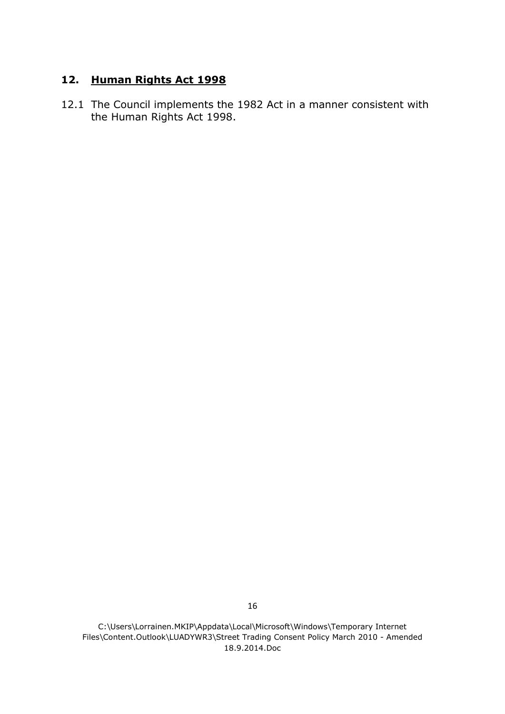## **12. Human Rights Act 1998**

12.1 The Council implements the 1982 Act in a manner consistent with the Human Rights Act 1998.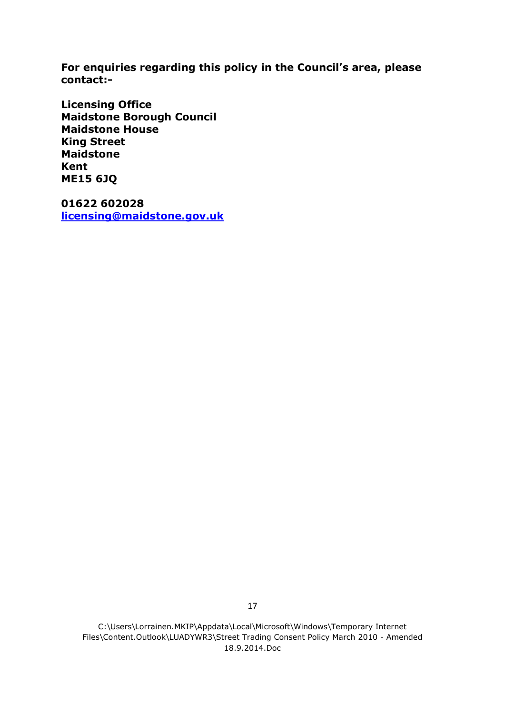**For enquiries regarding this policy in the Council's area, please contact:-**

**Licensing Office Maidstone Borough Council Maidstone House King Street Maidstone Kent ME15 6JQ**

**01622 602028 [licensing@maidstone.gov.uk](mailto:licensing@maidstone.gov.uk)**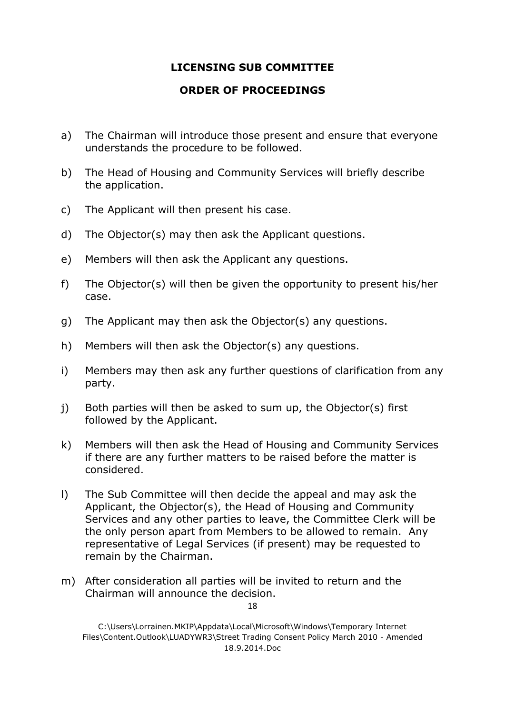## **LICENSING SUB COMMITTEE**

#### **ORDER OF PROCEEDINGS**

- a) The Chairman will introduce those present and ensure that everyone understands the procedure to be followed.
- b) The Head of Housing and Community Services will briefly describe the application.
- c) The Applicant will then present his case.
- d) The Objector(s) may then ask the Applicant questions.
- e) Members will then ask the Applicant any questions.
- f) The Objector(s) will then be given the opportunity to present his/her case.
- g) The Applicant may then ask the Objector(s) any questions.
- h) Members will then ask the Objector(s) any questions.
- i) Members may then ask any further questions of clarification from any party.
- j) Both parties will then be asked to sum up, the Objector(s) first followed by the Applicant.
- k) Members will then ask the Head of Housing and Community Services if there are any further matters to be raised before the matter is considered.
- l) The Sub Committee will then decide the appeal and may ask the Applicant, the Objector(s), the Head of Housing and Community Services and any other parties to leave, the Committee Clerk will be the only person apart from Members to be allowed to remain. Any representative of Legal Services (if present) may be requested to remain by the Chairman.
- m) After consideration all parties will be invited to return and the Chairman will announce the decision.

19

C:\Users\Lorrainen.MKIP\Appdata\Local\Microsoft\Windows\Temporary Internet Files\Content.Outlook\LUADYWR3\Street Trading Consent Policy March 2010 - Amended 18.9.2014.Doc